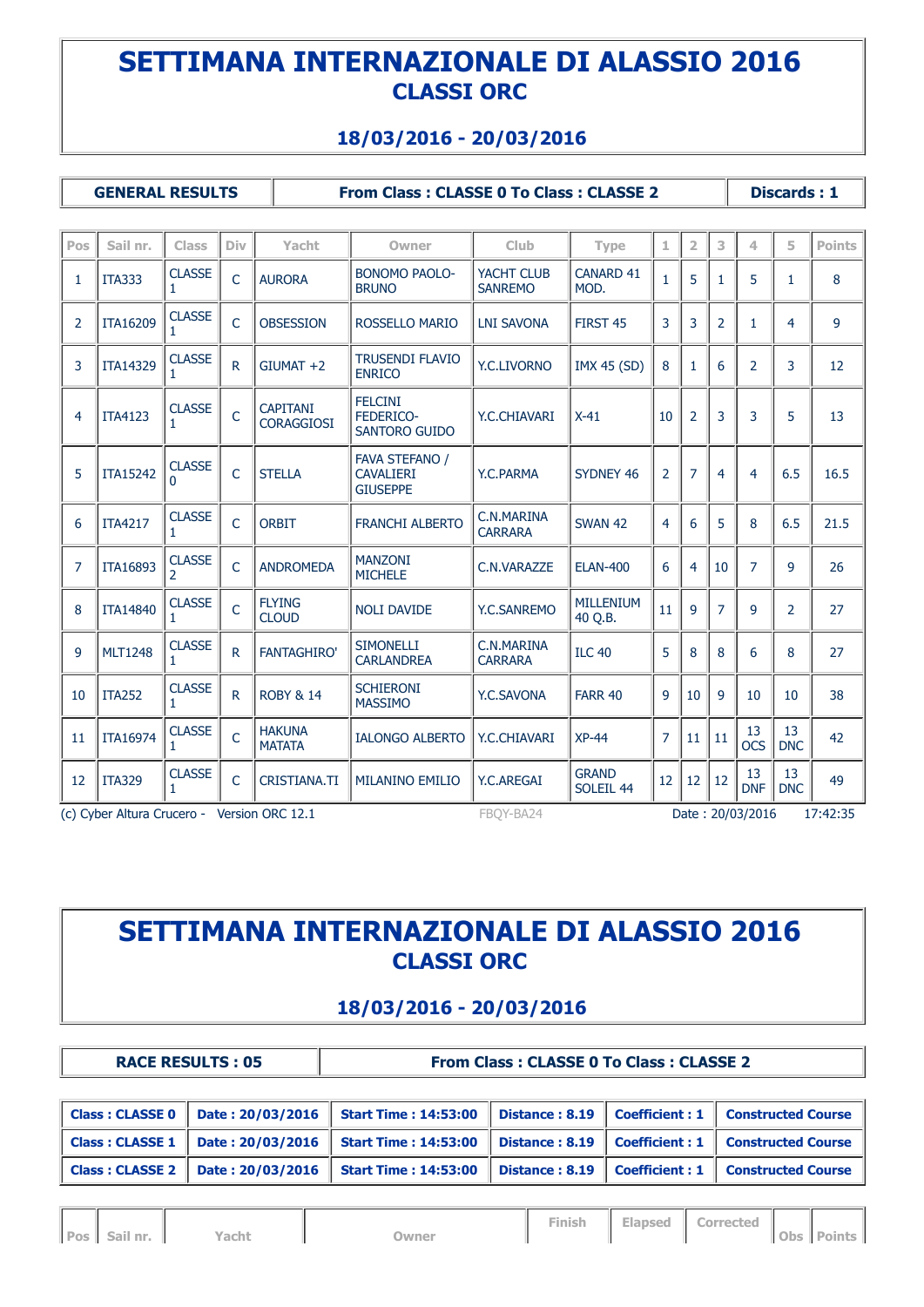### **18/03/2016 - 20/03/2016**

**GENERAL RESULTS From Class : CLASSE 0 To Class : CLASSE 2 Discards : 1**

| Pos | Sail nr.                                                                                 | Class                                     | Div            | Yacht                                | Owner                                                 | Club                         | Type                                 | 1              | $\overline{\mathbf{2}}$ | 3              | 4                | 5                | Points |
|-----|------------------------------------------------------------------------------------------|-------------------------------------------|----------------|--------------------------------------|-------------------------------------------------------|------------------------------|--------------------------------------|----------------|-------------------------|----------------|------------------|------------------|--------|
| 1   | <b>ITA333</b>                                                                            | <b>CLASSE</b><br>1                        | $\overline{C}$ | <b>AURORA</b>                        | <b>BONOMO PAOLO-</b><br><b>BRUNO</b>                  | YACHT CLUB<br><b>SANREMO</b> | <b>CANARD 41</b><br>MOD.             | $\mathbf{1}$   | 5                       | 1              | 5                | 1                | 8      |
| 2   | <b>ITA16209</b>                                                                          | <b>CLASSE</b>                             | $\mathsf{C}$   | <b>OBSESSION</b>                     | <b>ROSSELLO MARIO</b>                                 | <b>LNI SAVONA</b>            | FIRST <sub>45</sub>                  | 3              | 3                       | $\overline{2}$ | 1                | 4                | 9      |
| 3   | <b>ITA14329</b>                                                                          | <b>CLASSE</b>                             | $\mathsf{R}$   | $GIUMAT +2$                          | <b>TRUSENDI FLAVIO</b><br><b>ENRICO</b>               | <b>Y.C.LIVORNO</b>           | <b>IMX 45 (SD)</b>                   | 8              | 1                       | 6              | $\overline{2}$   | 3                | 12     |
| 4   | <b>ITA4123</b>                                                                           | <b>CLASSE</b>                             | $\overline{C}$ | <b>CAPITANI</b><br><b>CORAGGIOSI</b> | <b>FELCINI</b><br>FEDERICO-<br><b>SANTORO GUIDO</b>   | Y.C.CHIAVARI                 | $X-41$                               | 10             | $\overline{2}$          | 3              | 3                | 5                | 13     |
| 5   | <b>ITA15242</b>                                                                          | <b>CLASSE</b><br>$\Omega$                 | $\mathsf{C}$   | <b>STELLA</b>                        | FAVA STEFANO /<br><b>CAVALIERI</b><br><b>GIUSEPPE</b> | Y.C.PARMA                    | <b>SYDNEY 46</b>                     | $\overline{2}$ | 7                       | 4              | 4                | 6.5              | 16.5   |
| 6   | <b>ITA4217</b>                                                                           | <b>CLASSE</b><br>1                        | $\mathsf{C}$   | <b>ORBIT</b>                         | <b>FRANCHI ALBERTO</b>                                | C.N.MARINA<br><b>CARRARA</b> | <b>SWAN 42</b>                       | 4              | 6                       | 5              | 8                | 6.5              | 21.5   |
| 7   | <b>ITA16893</b>                                                                          | <b>CLASSE</b><br>$\overline{\phantom{a}}$ | $\mathsf{C}$   | <b>ANDROMEDA</b>                     | <b>MANZONI</b><br><b>MICHELE</b>                      | C.N.VARAZZE                  | <b>ELAN-400</b>                      | 6              | 4                       | 10             | $\overline{7}$   | 9                | 26     |
| 8   | <b>ITA14840</b>                                                                          | <b>CLASSE</b>                             | $\overline{C}$ | <b>FLYING</b><br><b>CLOUD</b>        | <b>NOLI DAVIDE</b>                                    | <b>Y.C.SANREMO</b>           | <b>MILLENIUM</b><br>40 Q.B.          | 11             | 9                       | $\overline{7}$ | 9                | 2                | 27     |
| 9   | <b>MLT1248</b>                                                                           | <b>CLASSE</b><br>1                        | R              | <b>FANTAGHIRO'</b>                   | <b>SIMONELLI</b><br><b>CARLANDREA</b>                 | C.N.MARINA<br><b>CARRARA</b> | <b>ILC 40</b>                        | 5              | 8                       | 8              | 6                | 8                | 27     |
| 10  | <b>ITA252</b>                                                                            | <b>CLASSE</b><br>1                        | $\mathsf{R}$   | <b>ROBY &amp; 14</b>                 | <b>SCHIERONI</b><br><b>MASSIMO</b>                    | Y.C.SAVONA                   | <b>FARR 40</b>                       | 9              | 10                      | 9              | 10               | 10               | 38     |
| 11  | <b>ITA16974</b>                                                                          | <b>CLASSE</b>                             | $\overline{C}$ | <b>HAKUNA</b><br><b>MATATA</b>       | <b>IALONGO ALBERTO</b>                                | Y.C.CHIAVARI                 | $XP-44$                              | $\overline{7}$ | 11                      | 11             | 13<br><b>OCS</b> | 13<br><b>DNC</b> | 42     |
| 12  | <b>ITA329</b>                                                                            | <b>CLASSE</b><br>1                        | $\mathsf{C}$   | <b>CRISTIANA.TI</b>                  | <b>MILANINO EMILIO</b>                                | <b>Y.C.AREGAI</b>            | <b>GRAND</b><br>SOLEIL <sub>44</sub> | 12             | 12                      | 12             | 13<br><b>DNF</b> | 13<br><b>DNC</b> | 49     |
|     | Date: 20/03/2016<br>17:42:35<br>(c) Cyber Altura Crucero - Version ORC 12.1<br>FBOY-BA24 |                                           |                |                                      |                                                       |                              |                                      |                |                         |                |                  |                  |        |

# **SETTIMANA INTERNAZIONALE DI ALASSIO 2016 CLASSI ORC**

#### **18/03/2016 - 20/03/2016**

|                        | <b>RACE RESULTS: 05</b> |                             | <b>From Class: CLASSE 0 To Class: CLASSE 2</b> |  |                                                      |  |
|------------------------|-------------------------|-----------------------------|------------------------------------------------|--|------------------------------------------------------|--|
|                        |                         |                             |                                                |  |                                                      |  |
| Class : CLASSE 0       | Date: 20/03/2016        | Start Time: $14:53:00$      |                                                |  | Distance: 8.19   Coefficient: 1   Constructed Course |  |
| Class : CLASSE 1       | Date: 20/03/2016        | Start Time: 14:53:00        |                                                |  | Distance: 8.19   Coefficient: 1   Constructed Course |  |
| <b>Class: CLASSE 2</b> | Date: 20/03/2016        | <b>Start Time: 14:53:00</b> |                                                |  | Distance: 8.19   Coefficient: 1   Constructed Course |  |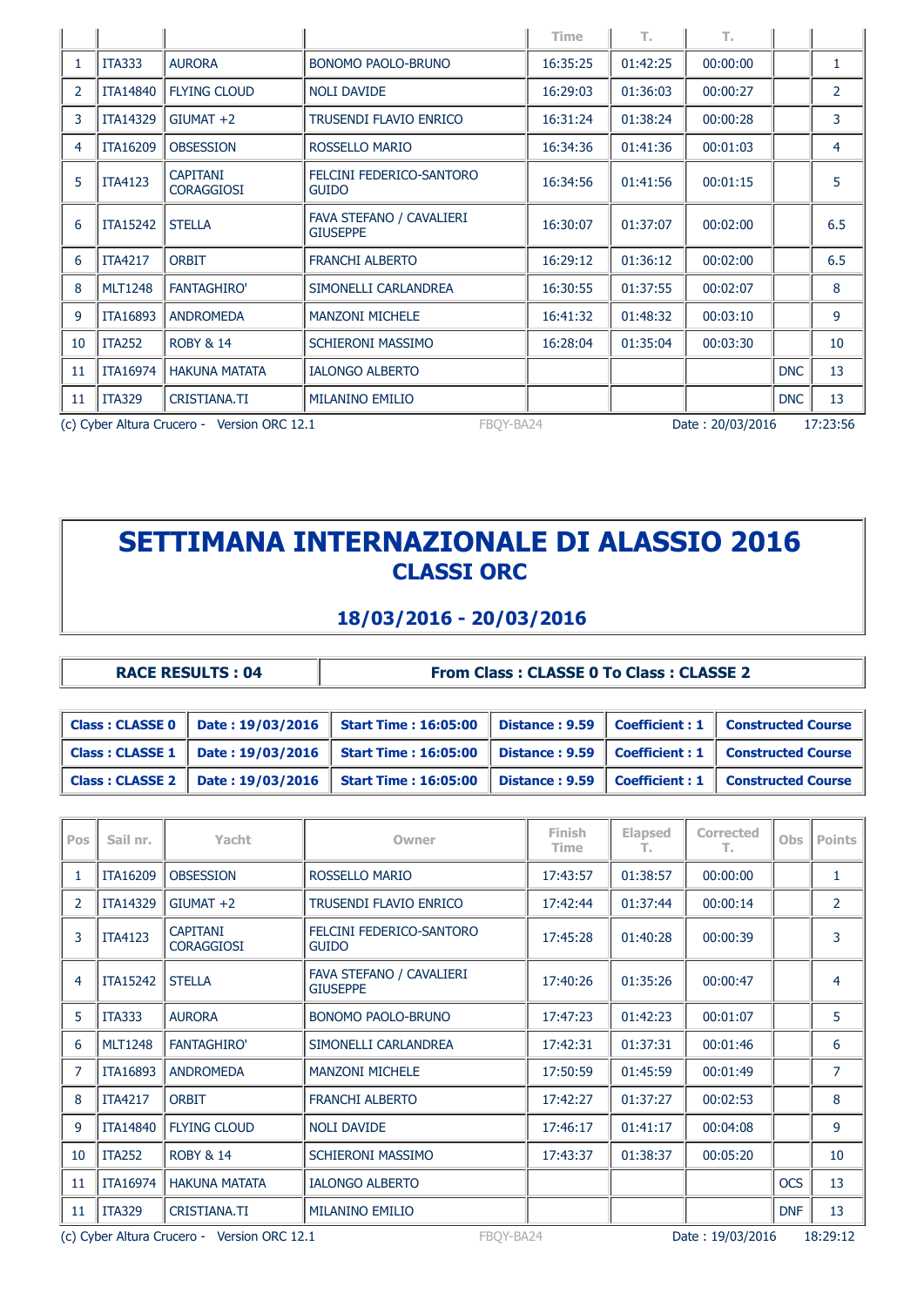|    |                                                                                          |                                      |                                             | <b>Time</b> | Т.       | Т.       |            |                |  |
|----|------------------------------------------------------------------------------------------|--------------------------------------|---------------------------------------------|-------------|----------|----------|------------|----------------|--|
|    | <b>ITA333</b>                                                                            | <b>AURORA</b>                        | <b>BONOMO PAOLO-BRUNO</b>                   | 16:35:25    | 01:42:25 | 00:00:00 |            | 1              |  |
| 2  | <b>ITA14840</b>                                                                          | <b>FLYING CLOUD</b>                  | <b>NOLI DAVIDE</b>                          | 16:29:03    | 01:36:03 | 00:00:27 |            | $\overline{2}$ |  |
| 3  | <b>ITA14329</b>                                                                          | $GIUMAT +2$                          | <b>TRUSENDI FLAVIO ENRICO</b>               | 16:31:24    | 01:38:24 | 00:00:28 |            | 3              |  |
| 4  | <b>ITA16209</b>                                                                          | <b>OBSESSION</b>                     | ROSSELLO MARIO                              | 16:34:36    | 01:41:36 | 00:01:03 |            | 4              |  |
| 5  | <b>ITA4123</b>                                                                           | <b>CAPITANI</b><br><b>CORAGGIOSI</b> | FELCINI FEDERICO-SANTORO<br><b>GUIDO</b>    | 16:34:56    | 01:41:56 | 00:01:15 |            | 5              |  |
| 6  | <b>ITA15242</b>                                                                          | <b>STELLA</b>                        | FAVA STEFANO / CAVALIERI<br><b>GIUSEPPE</b> | 16:30:07    | 01:37:07 | 00:02:00 |            | 6.5            |  |
| 6  | <b>ITA4217</b>                                                                           | <b>ORBIT</b>                         | <b>FRANCHI ALBERTO</b>                      | 16:29:12    | 01:36:12 | 00:02:00 |            | 6.5            |  |
| 8  | <b>MLT1248</b>                                                                           | <b>FANTAGHIRO'</b>                   | SIMONELLI CARLANDREA                        | 16:30:55    | 01:37:55 | 00:02:07 |            | 8              |  |
| 9  | <b>ITA16893</b>                                                                          | <b>ANDROMEDA</b>                     | <b>MANZONI MICHELE</b>                      | 16:41:32    | 01:48:32 | 00:03:10 |            | 9              |  |
| 10 | <b>ITA252</b>                                                                            | <b>ROBY &amp; 14</b>                 | <b>SCHIERONI MASSIMO</b>                    | 16:28:04    | 01:35:04 | 00:03:30 |            | 10             |  |
| 11 | <b>ITA16974</b>                                                                          | <b>HAKUNA MATATA</b>                 | <b>IALONGO ALBERTO</b>                      |             |          |          | <b>DNC</b> | 13             |  |
| 11 | <b>ITA329</b>                                                                            | CRISTIANA.TI                         | <b>MILANINO EMILIO</b>                      |             |          |          | <b>DNC</b> | 13             |  |
|    | (c) Cyber Altura Crucero - Version ORC 12.1<br>17:23:56<br>FBOY-BA24<br>Date: 20/03/2016 |                                      |                                             |             |          |          |            |                |  |

### **18/03/2016 - 20/03/2016**

| <b>RACE RESULTS: 04</b> | <b>From Class: CLASSE 0 To Class: CLASSE 2</b> |
|-------------------------|------------------------------------------------|
|-------------------------|------------------------------------------------|

| $\vert$ Class : CLASSE 0 $\vert$ Date : 19/03/2016 | <b>Start Time: 16:05:00</b>  |  | Distance: 9.59 Coefficient: 1   Constructed Course   |
|----------------------------------------------------|------------------------------|--|------------------------------------------------------|
| Class : CLASSE 1   Date : 19/03/2016               | <b>Start Time : 16:05:00</b> |  | Distance: 9.59   Coefficient: 1   Constructed Course |
| $\vert$ Class : CLASSE 2 $\vert$ Date : 19/03/2016 | <b>Start Time: 16:05:00</b>  |  | Distance: 9.59 Coefficient: 1   Constructed Course   |

| Pos            | Sail nr.                                                                                 | Yacht                                | Owner                                       | Finish<br>Time | <b>Elapsed</b><br>т. | <b>Corrected</b><br>т. | Obs        | <b>Points</b>  |  |
|----------------|------------------------------------------------------------------------------------------|--------------------------------------|---------------------------------------------|----------------|----------------------|------------------------|------------|----------------|--|
| 1              | ITA16209                                                                                 | <b>OBSESSION</b>                     | ROSSELLO MARIO                              | 17:43:57       | 01:38:57             | 00:00:00               |            | 1              |  |
| $\overline{2}$ | ITA14329                                                                                 | $GIUMAT +2$                          | <b>TRUSENDI FLAVIO ENRICO</b>               | 17:42:44       | 01:37:44             | 00:00:14               |            | $\overline{2}$ |  |
| 3              | <b>ITA4123</b>                                                                           | <b>CAPITANI</b><br><b>CORAGGIOSI</b> | FELCINI FEDERICO-SANTORO<br><b>GUIDO</b>    | 17:45:28       | 01:40:28             | 00:00:39               |            | 3              |  |
| 4              | <b>ITA15242</b>                                                                          | <b>STELLA</b>                        | FAVA STEFANO / CAVALIERI<br><b>GIUSEPPE</b> | 17:40:26       | 01:35:26             | 00:00:47               |            | 4              |  |
| 5              | <b>ITA333</b>                                                                            | <b>AURORA</b>                        | <b>BONOMO PAOLO-BRUNO</b>                   | 17:47:23       | 01:42:23             | 00:01:07               |            | 5              |  |
| 6              | <b>MLT1248</b>                                                                           | <b>FANTAGHIRO'</b>                   | SIMONELLI CARLANDREA                        | 17:42:31       | 01:37:31             | 00:01:46               |            | 6              |  |
| $\overline{7}$ | <b>ITA16893</b>                                                                          | <b>ANDROMEDA</b>                     | <b>MANZONI MICHELE</b>                      | 17:50:59       | 01:45:59             | 00:01:49               |            | $\overline{7}$ |  |
| 8              | <b>ITA4217</b>                                                                           | <b>ORBIT</b>                         | <b>FRANCHI ALBERTO</b>                      | 17:42:27       | 01:37:27             | 00:02:53               |            | 8              |  |
| 9              | <b>ITA14840</b>                                                                          | <b>FLYING CLOUD</b>                  | <b>NOLI DAVIDE</b>                          | 17:46:17       | 01:41:17             | 00:04:08               |            | 9              |  |
| 10             | <b>ITA252</b>                                                                            | <b>ROBY &amp; 14</b>                 | <b>SCHIERONI MASSIMO</b>                    | 17:43:37       | 01:38:37             | 00:05:20               |            | 10             |  |
| 11             | <b>ITA16974</b>                                                                          | <b>HAKUNA MATATA</b>                 | <b>IALONGO ALBERTO</b>                      |                |                      |                        | <b>OCS</b> | 13             |  |
| 11             | <b>ITA329</b>                                                                            | <b>CRISTIANA.TI</b>                  | <b>MILANINO EMILIO</b>                      |                |                      |                        | <b>DNF</b> | 13             |  |
|                | (c) Cyber Altura Crucero - Version ORC 12.1<br>18:29:12<br>FBOY-BA24<br>Date: 19/03/2016 |                                      |                                             |                |                      |                        |            |                |  |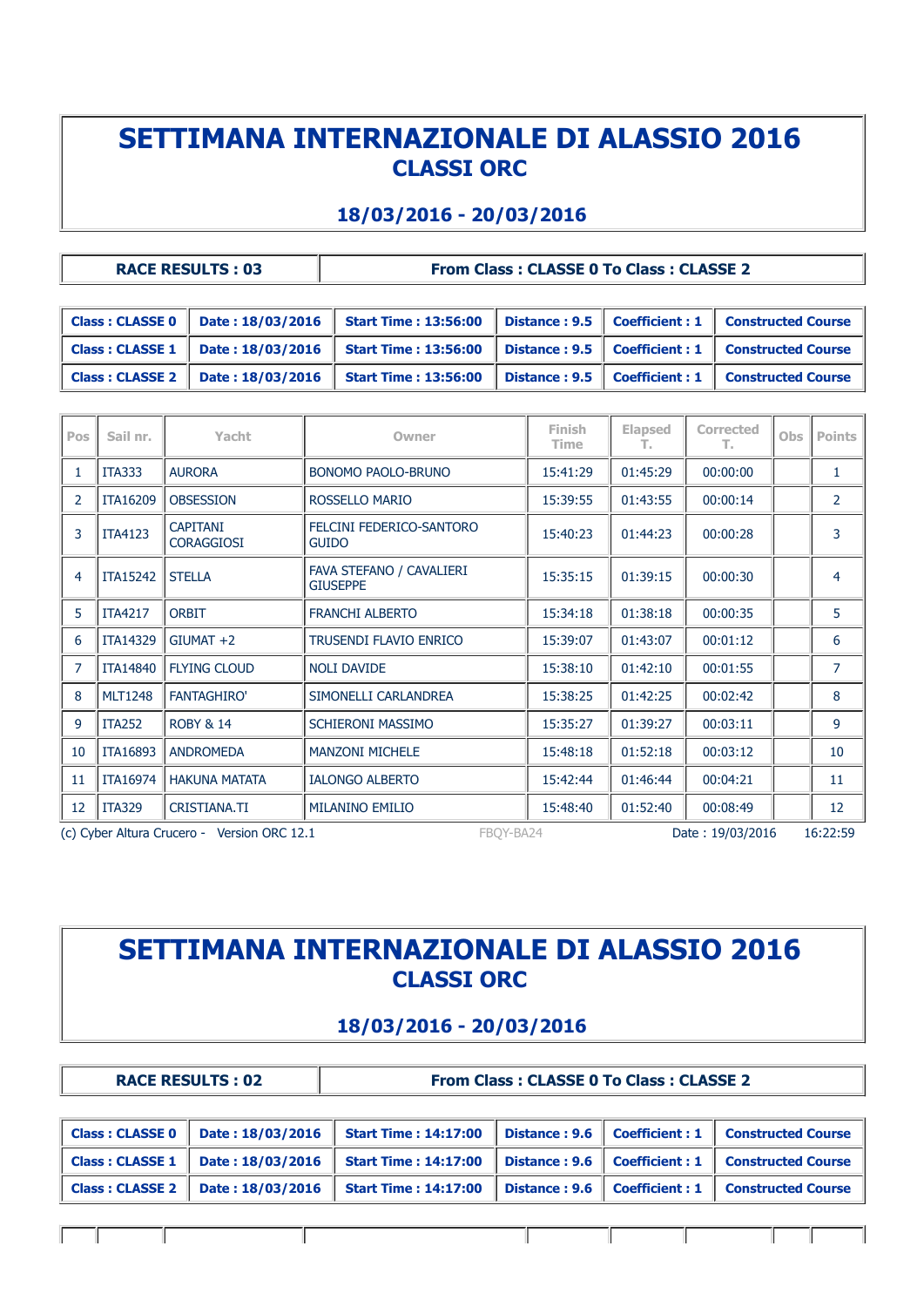### **18/03/2016 - 20/03/2016**

| <b>RACE RESULTS: 03</b> |                                                                                                                      | <b>From Class: CLASSE 0 To Class: CLASSE 2</b> |  |
|-------------------------|----------------------------------------------------------------------------------------------------------------------|------------------------------------------------|--|
|                         |                                                                                                                      |                                                |  |
|                         | Class : CLASSE 0   Date : 18/03/2016   Start Time : 13:56:00   Distance : 9.5   Coefficient : 1   Constructed Course |                                                |  |

|  | Class : CLASSE 1   Date : 18/03/2016   Start Time : 13:56:00   Distance : 9.5   Coefficient : 1   Constructed Course |  |  |
|--|----------------------------------------------------------------------------------------------------------------------|--|--|
|  | Class : CLASSE 2   Date : 18/03/2016   Start Time : 13:56:00   Distance : 9.5   Coefficient : 1   Constructed Course |  |  |
|  |                                                                                                                      |  |  |

| Pos | Sail nr.                                                                                 | Yacht                                | Owner                                       | Finish<br>Time | <b>Elapsed</b><br>т. | <b>Corrected</b><br>т. | Obs | <b>Points</b>  |  |
|-----|------------------------------------------------------------------------------------------|--------------------------------------|---------------------------------------------|----------------|----------------------|------------------------|-----|----------------|--|
|     | <b>ITA333</b>                                                                            | <b>AURORA</b>                        | <b>BONOMO PAOLO-BRUNO</b>                   | 15:41:29       | 01:45:29             | 00:00:00               |     | 1              |  |
| 2   | <b>ITA16209</b>                                                                          | <b>OBSESSION</b>                     | ROSSELLO MARIO                              | 15:39:55       | 01:43:55             | 00:00:14               |     | $\overline{2}$ |  |
| 3   | <b>ITA4123</b>                                                                           | <b>CAPITANI</b><br><b>CORAGGIOSI</b> | FELCINI FEDERICO-SANTORO<br><b>GUIDO</b>    | 15:40:23       | 01:44:23             | 00:00:28               |     | 3              |  |
| 4   | <b>ITA15242</b>                                                                          | <b>STELLA</b>                        | FAVA STEFANO / CAVALIERI<br><b>GIUSEPPE</b> | 15:35:15       | 01:39:15             | 00:00:30               |     | 4              |  |
| 5   | <b>ITA4217</b>                                                                           | <b>ORBIT</b>                         | <b>FRANCHI ALBERTO</b>                      | 15:34:18       | 01:38:18             | 00:00:35               |     | 5              |  |
| 6   | <b>ITA14329</b>                                                                          | $GIUMAT +2$                          | <b>TRUSENDI FLAVIO ENRICO</b>               | 15:39:07       | 01:43:07             | 00:01:12               |     | 6              |  |
| 7   | <b>ITA14840</b>                                                                          | <b>FLYING CLOUD</b>                  | <b>NOLI DAVIDE</b>                          | 15:38:10       | 01:42:10             | 00:01:55               |     | 7              |  |
| 8   | <b>MLT1248</b>                                                                           | <b>FANTAGHIRO'</b>                   | SIMONELLI CARLANDREA                        | 15:38:25       | 01:42:25             | 00:02:42               |     | 8              |  |
| 9   | <b>ITA252</b>                                                                            | <b>ROBY &amp; 14</b>                 | <b>SCHIERONI MASSIMO</b>                    | 15:35:27       | 01:39:27             | 00:03:11               |     | 9              |  |
| 10  | <b>ITA16893</b>                                                                          | <b>ANDROMEDA</b>                     | <b>MANZONI MICHELE</b>                      | 15:48:18       | 01:52:18             | 00:03:12               |     | 10             |  |
| 11  | ITA16974                                                                                 | <b>HAKUNA MATATA</b>                 | <b>IALONGO ALBERTO</b>                      | 15:42:44       | 01:46:44             | 00:04:21               |     | 11             |  |
| 12  | <b>ITA329</b>                                                                            | CRISTIANA.TI                         | <b>MILANINO EMILIO</b>                      | 15:48:40       | 01:52:40             | 00:08:49               |     | 12             |  |
|     | (c) Cyber Altura Crucero - Version ORC 12.1<br>FBOY-BA24<br>Date: 19/03/2016<br>16:22:59 |                                      |                                             |                |                      |                        |     |                |  |

# **SETTIMANA INTERNAZIONALE DI ALASSIO 2016 CLASSI ORC**

### **18/03/2016 - 20/03/2016**

Ш

 $\mathbb{I}$ 

 $\mathbb{I}$ 

|                        | <b>RACE RESULTS: 02</b> | <b>From Class: CLASSE 0 To Class: CLASSE 2</b> |               |                                |                           |  |
|------------------------|-------------------------|------------------------------------------------|---------------|--------------------------------|---------------------------|--|
|                        |                         |                                                |               |                                |                           |  |
| <b>Class: CLASSE 0</b> | Date: 18/03/2016        | <b>Start Time: 14:17:00</b>                    |               | Distance: $9.6$ Coefficient: 1 | <b>Constructed Course</b> |  |
| <b>Class: CLASSE 1</b> | Date: 18/03/2016        | <b>Start Time: 14:17:00</b>                    | Distance: 9.6 | $\mid$ Coefficient : 1         | <b>Constructed Course</b> |  |
| <b>Class: CLASSE 2</b> | Date: 18/03/2016        | <b>Start Time: 14:17:00</b>                    | Distance: 9.6 | <b>Coefficient: 1</b>          | <b>Constructed Course</b> |  |

 $\mathbf{I}$ 

T

 $\mathbf{I}$ 

 $\mathbf{I}$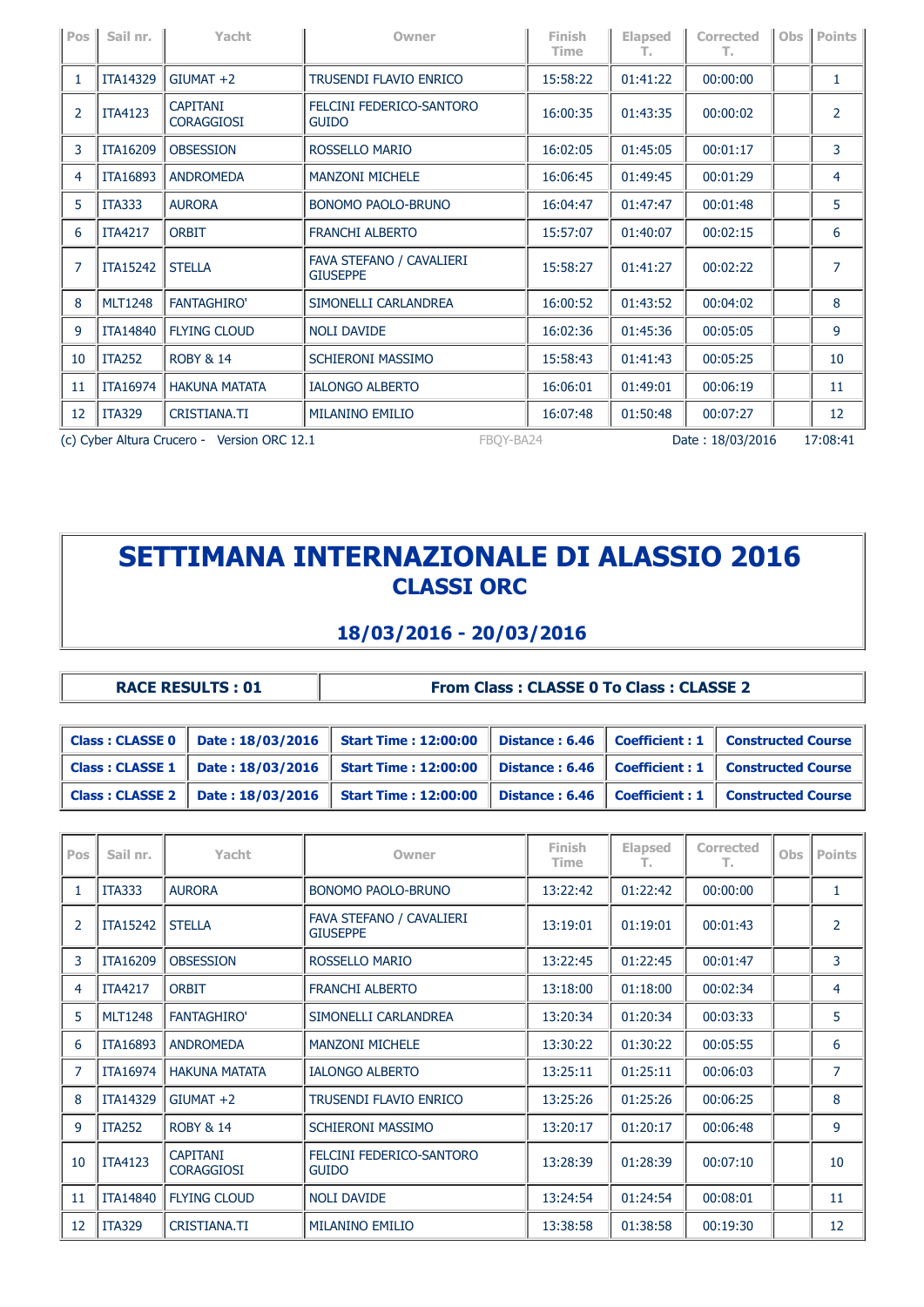| Pos                                                                                      | Sail nr.        | Yacht                                | Owner                                       | Finish<br>Time | <b>Elapsed</b><br>т. | Corrected<br>Т. | Obs | <b>Points</b>  |
|------------------------------------------------------------------------------------------|-----------------|--------------------------------------|---------------------------------------------|----------------|----------------------|-----------------|-----|----------------|
| 1                                                                                        | <b>ITA14329</b> | $GIUMAT +2$                          | TRUSENDI FLAVIO ENRICO                      | 15:58:22       | 01:41:22             | 00:00:00        |     | 1              |
| $\overline{2}$                                                                           | <b>ITA4123</b>  | <b>CAPITANI</b><br><b>CORAGGIOSI</b> | FELCINI FEDERICO-SANTORO<br><b>GUIDO</b>    | 16:00:35       | 01:43:35             | 00:00:02        |     | 2              |
| 3                                                                                        | <b>ITA16209</b> | <b>OBSESSION</b>                     | ROSSELLO MARIO                              | 16:02:05       | 01:45:05             | 00:01:17        |     | 3              |
| 4                                                                                        | <b>ITA16893</b> | <b>ANDROMEDA</b>                     | <b>MANZONI MICHELE</b>                      | 16:06:45       | 01:49:45             | 00:01:29        |     | 4              |
| 5                                                                                        | <b>ITA333</b>   | <b>AURORA</b>                        | <b>BONOMO PAOLO-BRUNO</b>                   | 16:04:47       | 01:47:47             | 00:01:48        |     | 5              |
| 6                                                                                        | <b>ITA4217</b>  | <b>ORBIT</b>                         | <b>FRANCHI ALBERTO</b>                      | 15:57:07       | 01:40:07             | 00:02:15        |     | 6              |
| 7                                                                                        | <b>ITA15242</b> | <b>STELLA</b>                        | FAVA STEFANO / CAVALIERI<br><b>GIUSEPPE</b> | 15:58:27       | 01:41:27             | 00:02:22        |     | $\overline{7}$ |
| 8                                                                                        | <b>MLT1248</b>  | <b>FANTAGHIRO'</b>                   | SIMONELLI CARLANDREA                        | 16:00:52       | 01:43:52             | 00:04:02        |     | 8              |
| 9                                                                                        | <b>ITA14840</b> | <b>FLYING CLOUD</b>                  | <b>NOLI DAVIDE</b>                          | 16:02:36       | 01:45:36             | 00:05:05        |     | 9              |
| 10                                                                                       | <b>ITA252</b>   | <b>ROBY &amp; 14</b>                 | SCHIERONI MASSIMO                           | 15:58:43       | 01:41:43             | 00:05:25        |     | 10             |
| 11                                                                                       | <b>ITA16974</b> | <b>HAKUNA MATATA</b>                 | <b>IALONGO ALBERTO</b>                      | 16:06:01       | 01:49:01             | 00:06:19        |     | 11             |
| 12                                                                                       | <b>ITA329</b>   | CRISTIANA.TI                         | <b>MILANINO EMILIO</b>                      | 16:07:48       | 01:50:48             | 00:07:27        |     | 12             |
| (c) Cyber Altura Crucero - Version ORC 12.1<br>17:08:41<br>FBOY-BA24<br>Date: 18/03/2016 |                 |                                      |                                             |                |                      |                 |     |                |

### **18/03/2016 - 20/03/2016**

| <b>RACE RESULTS: 01</b> | <b>From Class: CLASSE 0 To Class: CLASSE 2</b> |
|-------------------------|------------------------------------------------|
|                         |                                                |

| Class: CLASSE $0$   Date: $18/03/2016$             | <b>Start Time: 12:00:00</b> |  | Distance: 6.46   Coefficient: 1   Constructed Course   |
|----------------------------------------------------|-----------------------------|--|--------------------------------------------------------|
| $\vert$ Class : CLASSE 1 $\vert$ Date : 18/03/2016 | <b>Start Time: 12:00:00</b> |  | Distance: $6.46$   Coefficient: 1   Constructed Course |
| Class: CLASSE $2 \parallel$ Date: 18/03/2016       | <b>Start Time: 12:00:00</b> |  | Distance: 6.46   Coefficient: 1   Constructed Course   |

| Pos            | Sail nr.        | Yacht                                | Owner                                       | Finish<br><b>Time</b> | <b>Elapsed</b><br>т. | <b>Corrected</b><br>т. | <b>Obs</b> | <b>Points</b>  |
|----------------|-----------------|--------------------------------------|---------------------------------------------|-----------------------|----------------------|------------------------|------------|----------------|
| 1              | <b>ITA333</b>   | <b>AURORA</b>                        | <b>BONOMO PAOLO-BRUNO</b>                   | 13:22:42              | 01:22:42             | 00:00:00               |            | $\mathbf{1}$   |
| 2              | <b>ITA15242</b> | <b>STELLA</b>                        | FAVA STEFANO / CAVALIERI<br><b>GIUSEPPE</b> | 13:19:01              | 01:19:01             | 00:01:43               |            | $\overline{2}$ |
| 3              | ITA16209        | <b>OBSESSION</b>                     | ROSSELLO MARIO                              | 13:22:45              | 01:22:45             | 00:01:47               |            | 3              |
| 4              | <b>ITA4217</b>  | <b>ORBIT</b>                         | <b>FRANCHI ALBERTO</b>                      | 13:18:00              | 01:18:00             | 00:02:34               |            | 4              |
| 5              | <b>MLT1248</b>  | <b>FANTAGHIRO'</b>                   | SIMONELLI CARLANDREA                        | 13:20:34              | 01:20:34             | 00:03:33               |            | 5              |
| 6              | <b>ITA16893</b> | <b>ANDROMEDA</b>                     | <b>MANZONI MICHELE</b>                      | 13:30:22              | 01:30:22             | 00:05:55               |            | 6              |
| $\overline{7}$ | <b>ITA16974</b> | <b>HAKUNA MATATA</b>                 | <b>IALONGO ALBERTO</b>                      | 13:25:11              | 01:25:11             | 00:06:03               |            | $\overline{7}$ |
| 8              | <b>ITA14329</b> | $GIUMAT +2$                          | TRUSENDI FLAVIO ENRICO                      | 13:25:26              | 01:25:26             | 00:06:25               |            | 8              |
| 9              | <b>ITA252</b>   | <b>ROBY &amp; 14</b>                 | <b>SCHIERONI MASSIMO</b>                    | 13:20:17              | 01:20:17             | 00:06:48               |            | 9              |
| 10             | <b>ITA4123</b>  | <b>CAPITANI</b><br><b>CORAGGIOSI</b> | FELCINI FEDERICO-SANTORO<br><b>GUIDO</b>    | 13:28:39              | 01:28:39             | 00:07:10               |            | 10             |
| 11             | <b>ITA14840</b> | <b>FLYING CLOUD</b>                  | <b>NOLI DAVIDE</b>                          | 13:24:54              | 01:24:54             | 00:08:01               |            | 11             |
| 12             | <b>ITA329</b>   | <b>CRISTIANA.TI</b>                  | <b>MILANINO EMILIO</b>                      | 13:38:58              | 01:38:58             | 00:19:30               |            | 12             |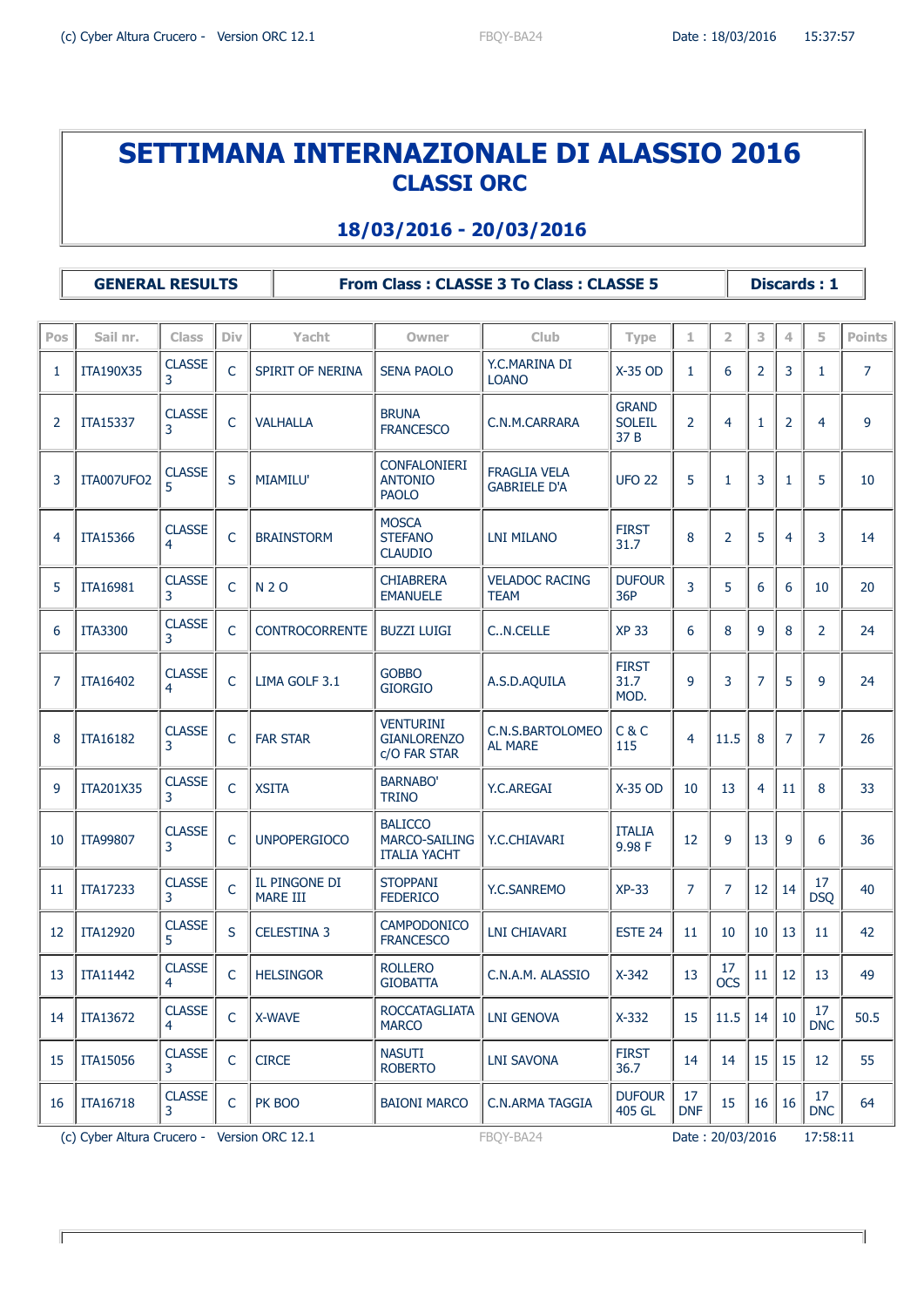#### **18/03/2016 - 20/03/2016**

**GENERAL RESULTS From Class : CLASSE 3 To Class : CLASSE 5 Discards : 1**

**Pos Sail nr. Class Div Yacht Owner Club Type 1 2 3 4 5 Points** 1 | ITA190X35  $\left| \begin{array}{c} \text{CLASS} \\ \text{3} \end{array} \right|$  $\begin{array}{|l|c|c|c|c|}\n\hline\n\text{SPIRIT OF NERINA} & \text{SENA PAOLO} & \text{X.C.MARINA DI} \\
\hline\n\end{array}$  $\begin{array}{|c|c|c|c|c|c|c|c|c|c|c|} \hline \text{LCANO} & & \text{X-35 OD} & 1 & 6 & 2 & 3 & 1 & 7 \ \hline \end{array}$ 2  $\int_{0}^{1}$  ITA15337  $\int_{3}^{1}$  CLASSE C VALHALLA BRUNA<br>FRANCESCO C.N.M.CARRARA **GRAND** SOLEIL 37 B 2 4 1 2 4 9  $3$  TTA007UFO2  $\begin{array}{|c|c|c|}\n\hline\n5\end{array}$ S | MIAMILU' CONFALONIERI ANTONIO PAOLO FRAGLIA VELA  $T_A$ MAGLIA VLLA  $\begin{array}{c|c|c|c|c|c|c|c|c} \hline \text{GABRIELE D'A} & \text{UFO 22} & 5 & 1 & 3 & 1 & 5 & 10 \ \hline \end{array}$  $4$  | ITA15366 | CLASSE C BRAINSTORM **MOSCA STEFANO** CLAUDIO LNI MILANO  $\begin{bmatrix} \text{FIRST} \\ \text{31.7} \end{bmatrix}$ 31.7 <sup>8</sup> <sup>2</sup> <sup>5</sup> <sup>4</sup> <sup>3</sup> <sup>14</sup> 5 | ITA16981  $\left| \begin{array}{cc} \text{CLASS} \\ \text{3} \end{array} \right|$ <sup>3</sup> <sup>C</sup> N 2 O CHIABRERA EMANUELE VELADOC RACING **TEAM DUFOUR**  $36P$   $3 \mid 5 \mid 6 \mid 6 \mid 10 \mid 20$ 6  $\int$ ITA3300  $\int_3^2$ CLASSE CLASSE C CONTROCORRENTE BUZZI LUIGI C..N.CELLE XP 33 6 8 9 9 8 2 24  $7 \text{ ITA16402}$  CLASSE  $\begin{array}{c|c}\n\text{C} & \text{LIMA GOLF 3.1} \\
\hline\n\end{array}$  GOBBO A.S.D.AQUILA FIRST 31.7 MOD. 9 3 7 5 9 24 8 | ITA16182  $\left| \begin{array}{cc} \text{CLASS} \\ \text{R} \end{array} \right|$  $C$  FAR STAR VENTURINI **GIANLORENZO** c/O FAR STAR C.N.S.BARTOLOMEO AL MARE C & C  $115$  4 11.5 8 7 7 26 9 | ITA201X35  $\left| \frac{\text{CLASS}}{3} \right|$ CLASSE C XSITA BARNABO'<br>3 TRINO  $T \times 25 \text{ OD}$   $\begin{array}{|l|l|l|} \hline \end{array}$  Y.C.AREGAI  $\begin{array}{|l|l|l|} \hline \end{array}$  X-35 OD  $\begin{array}{|l|l|l|} \hline \end{array}$  10  $\begin{array}{|l|l|l|} \hline \end{array}$  13  $\begin{array}{|l|l|} \hline \end{array}$  4  $\begin{array}{|l|l|} \hline \end{array}$  11  $\begin{array}{|l|l|} \hline \end{array}$  8  $\begin{array}{|l|l|} \$ 10 | ITA99807  $\Big|\begin{array}{cc} 2 \end{array}$  CLASSE C UNPOPERGIOCO BALICCO MARCO-SAILING ITALIA YACHT Y.C.CHIAVARI TALIA 9.98 F  $\begin{array}{|c|c|c|c|c|c|c|c|} \hline 12 & 9 & 13 & 9 & 6 & 36 \ \hline \end{array}$ 11 | ITA17233  $\left|\begin{array}{cc} \text{CLASS} \end{array}\right|$  $\overline{C}$  IL PINGONE DI MARE III STOPPANI<br>FEDERICO  $\textrm{STOPPANI}$  Y.C.SANREMO  $\times$  XP-33 7 7 12 14  $\times$  $\begin{array}{c|c} 17 & 40 \\ \hline \end{array}$ 12 |  $ITA12920$  | CLASSE S CELESTINA 3 CAMPODONICO  $FRANCESCO$  LNI CHIAVARI ESTE 24 11 10 10 13 11 42 13 | ITA11442  $\begin{array}{|c|c|c|}\n\hline\n\text{CLASSE} \\
\hline\n\end{array}$ C HELSINGOR ROLLERO C.N.A.M. ALASSIO  $\begin{array}{|l|c|c|c|c|c|}\n\hline\nx-342 & 13 & 17\n\end{array}$  $\int_{\text{OCS}}^{17}$  11 12 13 13 49 14 | ITA13672 | CLASSE C X-WAVE ROCCATAGLIATA  $\text{NACO}\ \text{MARCO}$  LNI GENOVA  $\text{N-X-332}$  15 11.5 14 10  $\text{N}^{\text{17}}$  $\frac{17}{\text{DNC}}$  50.5 15 | ITA15056  $\left| \begin{array}{c} \text{CLASS} \\ \text{R} \end{array} \right|$ CLASSE C CIRCE NASUTI NASUTI | LNI SAVONA | FIRST<br>ROBERTO | LNI SAVONA | 36.7  $36.7$  14 14 15 15 12 55 16 | ITA16718  $\left| \begin{array}{c} \text{CLASS} \\ \text{3} \end{array} \right|$  $\begin{array}{c|c|c|c} \text{CLASSE} & c & \text{PK } \text{BOO} & \text{BAIONI } \text{MARCO} & \text{C.N.} \text{ARMA } \text{TAGGIA} & & \text{ADIFOUR} \end{array}$ 405 GL  $\frac{17}{DNF}$  $\begin{array}{|c|c|c|c|c|c|} \hline 17 & 15 & 16 & 16 & \hline \text{DN} & \text{DN} \end{array}$  $\begin{array}{c|c} 17 & 64 \end{array}$ 

(c) Cyber Altura Crucero - Version ORC 12.1 FBOY-BA24 Date : 20/03/2016 17:58:11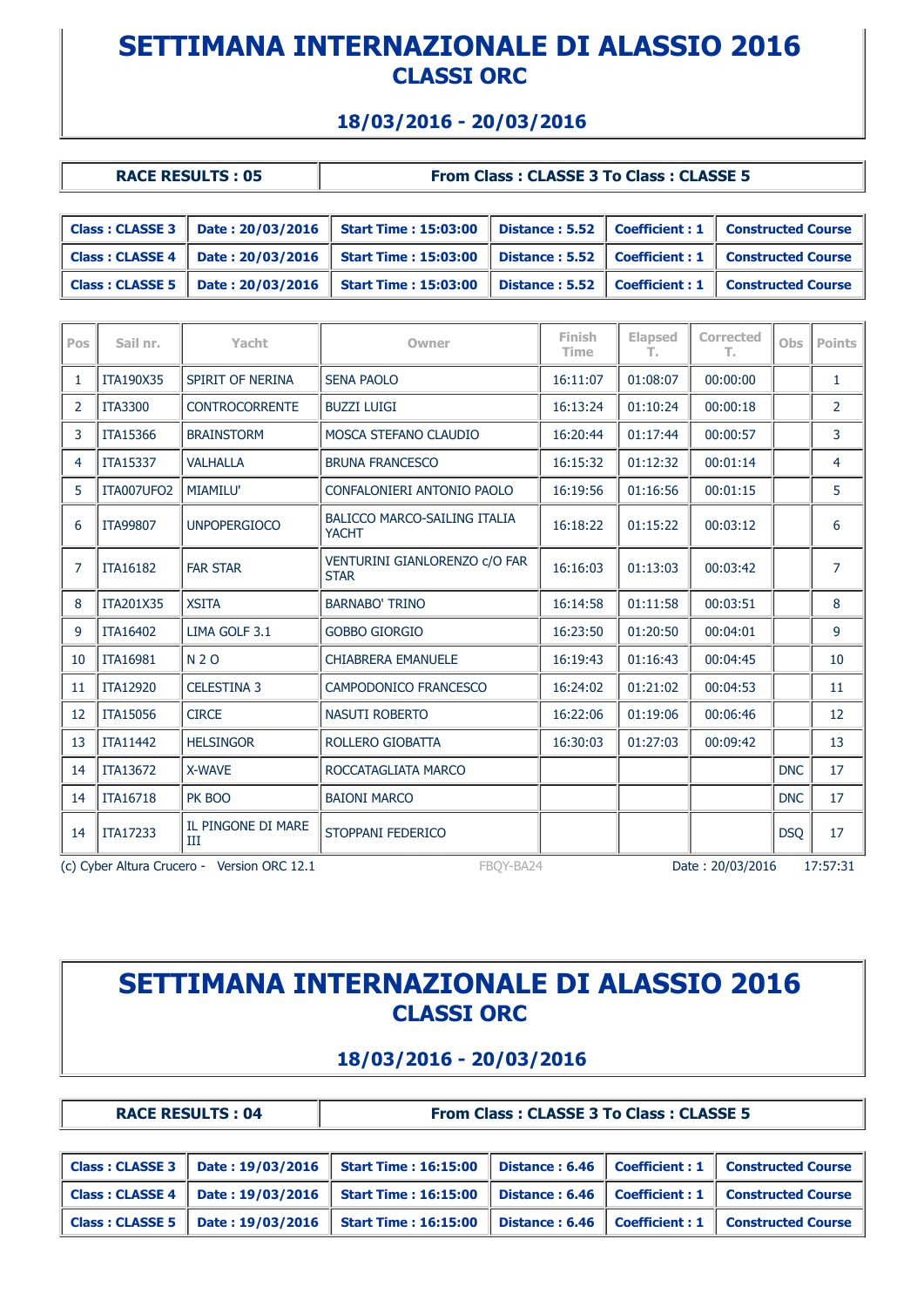### **18/03/2016 - 20/03/2016**

| <b>RACE RESULTS: 05</b> |  |
|-------------------------|--|

#### **From Class : CLASSE 3 To Class : CLASSE 5**

| Class: CLASSE 3 $\parallel$ Date: 20/03/2016       | <b>Start Time : 15:03:00</b>                                                                                                                          |  | Distance: 5.52 Coefficient: 1 Constructed Course |
|----------------------------------------------------|-------------------------------------------------------------------------------------------------------------------------------------------------------|--|--------------------------------------------------|
|                                                    | $\mid$ Class : CLASSE 4 $\mid$ Date : 20/03/2016 $\mid$ Start Time : 15:03:00 $\mid$ Distance : 5.52 $\mid$ Coefficient : 1 $\mid$ Constructed Course |  |                                                  |
| $\vert$ Class : CLASSE 5 $\vert$ Date : 20/03/2016 | <b>Start Time: 15:03:00</b>                                                                                                                           |  | Distance: 5.52 Coefficient: 1 Constructed Course |

| Pos | Sail nr.        | Yacht                                       | Owner                                               | Finish<br><b>Time</b> | <b>Elapsed</b><br>т. | <b>Corrected</b><br>т. | Obs        | <b>Points</b>  |
|-----|-----------------|---------------------------------------------|-----------------------------------------------------|-----------------------|----------------------|------------------------|------------|----------------|
| 1   | ITA190X35       | SPIRIT OF NERINA                            | <b>SENA PAOLO</b>                                   | 16:11:07              | 01:08:07             | 00:00:00               |            | 1              |
| 2   | <b>ITA3300</b>  | <b>CONTROCORRENTE</b>                       | <b>BUZZI LUIGI</b>                                  | 16:13:24              | 01:10:24             | 00:00:18               |            | $\overline{2}$ |
| 3   | ITA15366        | <b>BRAINSTORM</b>                           | MOSCA STEFANO CLAUDIO                               | 16:20:44              | 01:17:44             | 00:00:57               |            | 3              |
| 4   | <b>ITA15337</b> | <b>VALHALLA</b>                             | <b>BRUNA FRANCESCO</b>                              | 16:15:32              | 01:12:32             | 00:01:14               |            | 4              |
| 5   | ITA007UFO2      | <b>MIAMILU'</b>                             | CONFALONIERI ANTONIO PAOLO                          | 16:19:56              | 01:16:56             | 00:01:15               |            | 5              |
| 6   | ITA99807        | <b>UNPOPERGIOCO</b>                         | <b>BALICCO MARCO-SAILING ITALIA</b><br><b>YACHT</b> | 16:18:22              | 01:15:22             | 00:03:12               |            | 6              |
| 7   | <b>ITA16182</b> | <b>FAR STAR</b>                             | VENTURINI GIANLORENZO c/O FAR<br><b>STAR</b>        | 16:16:03              | 01:13:03             | 00:03:42               |            | $\overline{7}$ |
| 8   | ITA201X35       | <b>XSITA</b>                                | <b>BARNABO' TRINO</b>                               | 16:14:58              | 01:11:58             | 00:03:51               |            | 8              |
| 9   | <b>ITA16402</b> | LIMA GOLF 3.1                               | <b>GOBBO GIORGIO</b>                                | 16:23:50              | 01:20:50             | 00:04:01               |            | 9              |
| 10  | <b>ITA16981</b> | <b>N2O</b>                                  | <b>CHIABRERA EMANUELE</b>                           | 16:19:43              | 01:16:43             | 00:04:45               |            | 10             |
| 11  | ITA12920        | <b>CELESTINA 3</b>                          | CAMPODONICO FRANCESCO                               | 16:24:02              | 01:21:02             | 00:04:53               |            | 11             |
| 12  | <b>ITA15056</b> | <b>CIRCE</b>                                | <b>NASUTI ROBERTO</b>                               | 16:22:06              | 01:19:06             | 00:06:46               |            | 12             |
| 13  | <b>ITA11442</b> | <b>HELSINGOR</b>                            | ROLLERO GIOBATTA                                    | 16:30:03              | 01:27:03             | 00:09:42               |            | 13             |
| 14  | ITA13672        | X-WAVE                                      | ROCCATAGLIATA MARCO                                 |                       |                      |                        | <b>DNC</b> | 17             |
| 14  | <b>ITA16718</b> | PK BOO                                      | <b>BAIONI MARCO</b>                                 |                       |                      |                        | <b>DNC</b> | 17             |
| 14  | <b>ITA17233</b> | IL PINGONE DI MARE<br>Ш                     | STOPPANI FEDERICO                                   |                       |                      |                        | <b>DSO</b> | 17             |
|     |                 | (c) Cyber Altura Crucero - Version ORC 12.1 | FBOY-BA24                                           |                       |                      | Date: 20/03/2016       |            | 17:57:31       |

# **SETTIMANA INTERNAZIONALE DI ALASSIO 2016 CLASSI ORC**

#### **18/03/2016 - 20/03/2016**

**RACE RESULTS : 04 From Class : CLASSE 3 To Class : CLASSE 5**

|                                                    | $\vert$ Class : CLASSE 3 $\vert$ Date : 19/03/2016 $\vert$ Start Time : 16:15:00                                                                      |  | Distance: 6.46   Coefficient: 1   Constructed Course   |
|----------------------------------------------------|-------------------------------------------------------------------------------------------------------------------------------------------------------|--|--------------------------------------------------------|
|                                                    | $\mid$ Class : CLASSE 4 $\mid$ Date : 19/03/2016 $\mid$ Start Time : 16:15:00 $\mid$ Distance : 6.46 $\mid$ Coefficient : 1 $\mid$ Constructed Course |  |                                                        |
| $\vert$ Class : CLASSE 5 $\vert$ Date : 19/03/2016 | <b>Start Time: 16:15:00</b>                                                                                                                           |  | Distance: $6.46$   Coefficient: 1   Constructed Course |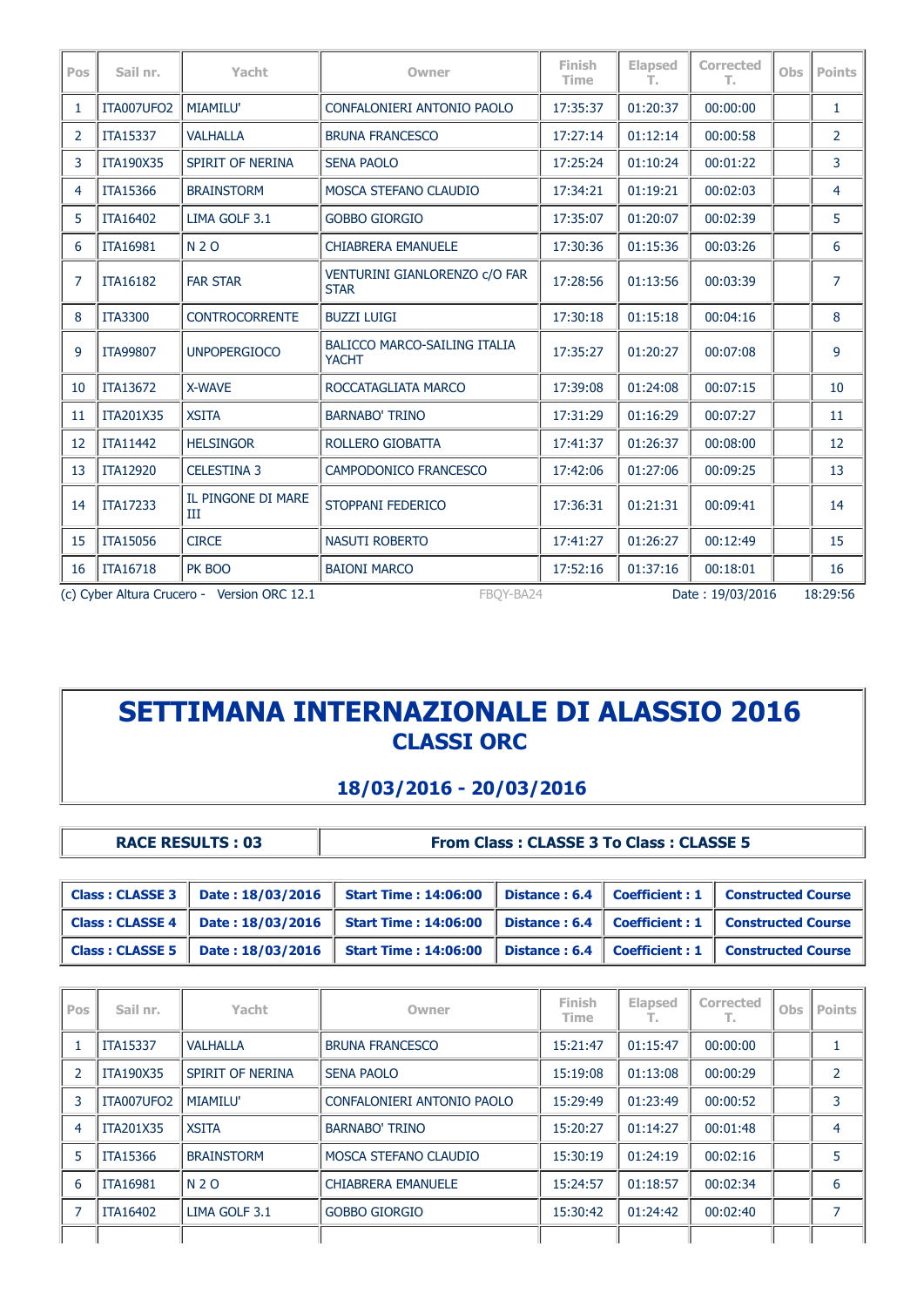| Pos | Sail nr.        | Yacht                                       | Owner                                               | Finish<br><b>Time</b> | <b>Elapsed</b><br>т. | <b>Corrected</b><br>т. | Obs | <b>Points</b>  |
|-----|-----------------|---------------------------------------------|-----------------------------------------------------|-----------------------|----------------------|------------------------|-----|----------------|
| 1   | ITA007UFO2      | <b>MIAMILU'</b>                             | CONFALONIERI ANTONIO PAOLO                          | 17:35:37              | 01:20:37             | 00:00:00               |     | $\mathbf{1}$   |
| 2   | <b>ITA15337</b> | <b>VALHALLA</b>                             | <b>BRUNA FRANCESCO</b>                              | 17:27:14              | 01:12:14             | 00:00:58               |     | 2              |
| 3   | ITA190X35       | <b>SPIRIT OF NERINA</b>                     | <b>SENA PAOLO</b>                                   | 17:25:24              | 01:10:24             | 00:01:22               |     | 3              |
| 4   | <b>ITA15366</b> | <b>BRAINSTORM</b>                           | MOSCA STEFANO CLAUDIO                               | 17:34:21              | 01:19:21             | 00:02:03               |     | 4              |
| 5   | <b>ITA16402</b> | LIMA GOLF 3.1                               | <b>GOBBO GIORGIO</b>                                | 17:35:07              | 01:20:07             | 00:02:39               |     | 5              |
| 6   | <b>ITA16981</b> | <b>N2O</b>                                  | <b>CHIABRERA EMANUELE</b>                           | 17:30:36              | 01:15:36             | 00:03:26               |     | 6              |
| 7   | <b>ITA16182</b> | <b>FAR STAR</b>                             | VENTURINI GIANLORENZO c/O FAR<br><b>STAR</b>        | 17:28:56              | 01:13:56             | 00:03:39               |     | $\overline{7}$ |
| 8   | <b>ITA3300</b>  | <b>CONTROCORRENTE</b>                       | <b>BUZZI LUIGI</b>                                  | 17:30:18              | 01:15:18             | 00:04:16               |     | 8              |
| 9   | <b>ITA99807</b> | <b>UNPOPERGIOCO</b>                         | <b>BALICCO MARCO-SAILING ITALIA</b><br><b>YACHT</b> | 17:35:27              | 01:20:27             | 00:07:08               |     | 9              |
| 10  | <b>ITA13672</b> | X-WAVE                                      | ROCCATAGLIATA MARCO                                 | 17:39:08              | 01:24:08             | 00:07:15               |     | 10             |
| 11  | ITA201X35       | <b>XSITA</b>                                | <b>BARNABO' TRINO</b>                               | 17:31:29              | 01:16:29             | 00:07:27               |     | 11             |
| 12  | <b>ITA11442</b> | <b>HELSINGOR</b>                            | ROLLERO GIOBATTA                                    | 17:41:37              | 01:26:37             | 00:08:00               |     | 12             |
| 13  | <b>ITA12920</b> | <b>CELESTINA 3</b>                          | CAMPODONICO FRANCESCO                               | 17:42:06              | 01:27:06             | 00:09:25               |     | 13             |
| 14  | <b>ITA17233</b> | IL PINGONE DI MARE<br>Ш                     | STOPPANI FEDERICO                                   | 17:36:31              | 01:21:31             | 00:09:41               |     | 14             |
| 15  | <b>ITA15056</b> | <b>CIRCE</b>                                | <b>NASUTI ROBERTO</b>                               | 17:41:27              | 01:26:27             | 00:12:49               |     | 15             |
| 16  | <b>ITA16718</b> | PK BOO                                      | <b>BAIONI MARCO</b>                                 | 17:52:16              | 01:37:16             | 00:18:01               |     | 16             |
|     |                 | (c) Cyber Altura Crucero - Version ORC 12.1 | FBOY-BA24                                           |                       |                      | Date: 19/03/2016       |     | 18:29:56       |

### **18/03/2016 - 20/03/2016**

| <b>RACE RESULTS: 03</b> |  |  |  |
|-------------------------|--|--|--|
|-------------------------|--|--|--|

**Race Results : 03 From Class : CLASSE 3 To Class : CLASSE 5** 

| $\vert$ Class : CLASSE 3 $\vert$ Date : 18/03/2016 | <b>Start Time: 14:06:00</b>                                               |  | Distance: 6.4   Coefficient: 1   Constructed Course |
|----------------------------------------------------|---------------------------------------------------------------------------|--|-----------------------------------------------------|
| $\vert$ Class : CLASSE 4 $\vert$ Date : 18/03/2016 | Start Time : $14:06:00$ Distance : 6.4 Coefficient : 1 Constructed Course |  |                                                     |
| $\vert$ Class : CLASSE 5 $\vert$ Date : 18/03/2016 | <b>Start Time: 14:06:00</b>                                               |  | Distance: 6.4   Coefficient: 1   Constructed Course |

| Pos            | Sail nr.         | Yacht             | Owner                        | Finish<br><b>Time</b> | <b>Elapsed</b><br>т. | Corrected<br>т. | Obs | <b>Points</b>  |
|----------------|------------------|-------------------|------------------------------|-----------------------|----------------------|-----------------|-----|----------------|
|                | <b>ITA15337</b>  | <b>VALHALLA</b>   | <b>BRUNA FRANCESCO</b>       | 15:21:47              | 01:15:47             | 00:00:00        |     |                |
| $\overline{2}$ | <b>ITA190X35</b> | SPIRIT OF NERINA  | <b>SENA PAOLO</b>            | 15:19:08              | 01:13:08             | 00:00:29        |     | 2              |
| 3              | ITA007UFO2       | <b>MIAMILU'</b>   | CONFALONIERI ANTONIO PAOLO   | 15:29:49              | 01:23:49             | 00:00:52        |     | 3              |
| 4              | ITA201X35        | <b>XSITA</b>      | <b>BARNABO' TRINO</b>        | 15:20:27              | 01:14:27             | 00:01:48        |     | 4              |
| 5              | <b>ITA15366</b>  | <b>BRAINSTORM</b> | <b>MOSCA STEFANO CLAUDIO</b> | 15:30:19              | 01:24:19             | 00:02:16        |     | 5              |
| 6              | <b>ITA16981</b>  | N 2 O             | <b>CHIABRERA EMANUELE</b>    | 15:24:57              | 01:18:57             | 00:02:34        |     | 6              |
|                | <b>ITA16402</b>  | LIMA GOLF 3.1     | <b>GOBBO GIORGIO</b>         | 15:30:42              | 01:24:42             | 00:02:40        |     | $\overline{7}$ |
|                |                  |                   |                              |                       |                      |                 |     |                |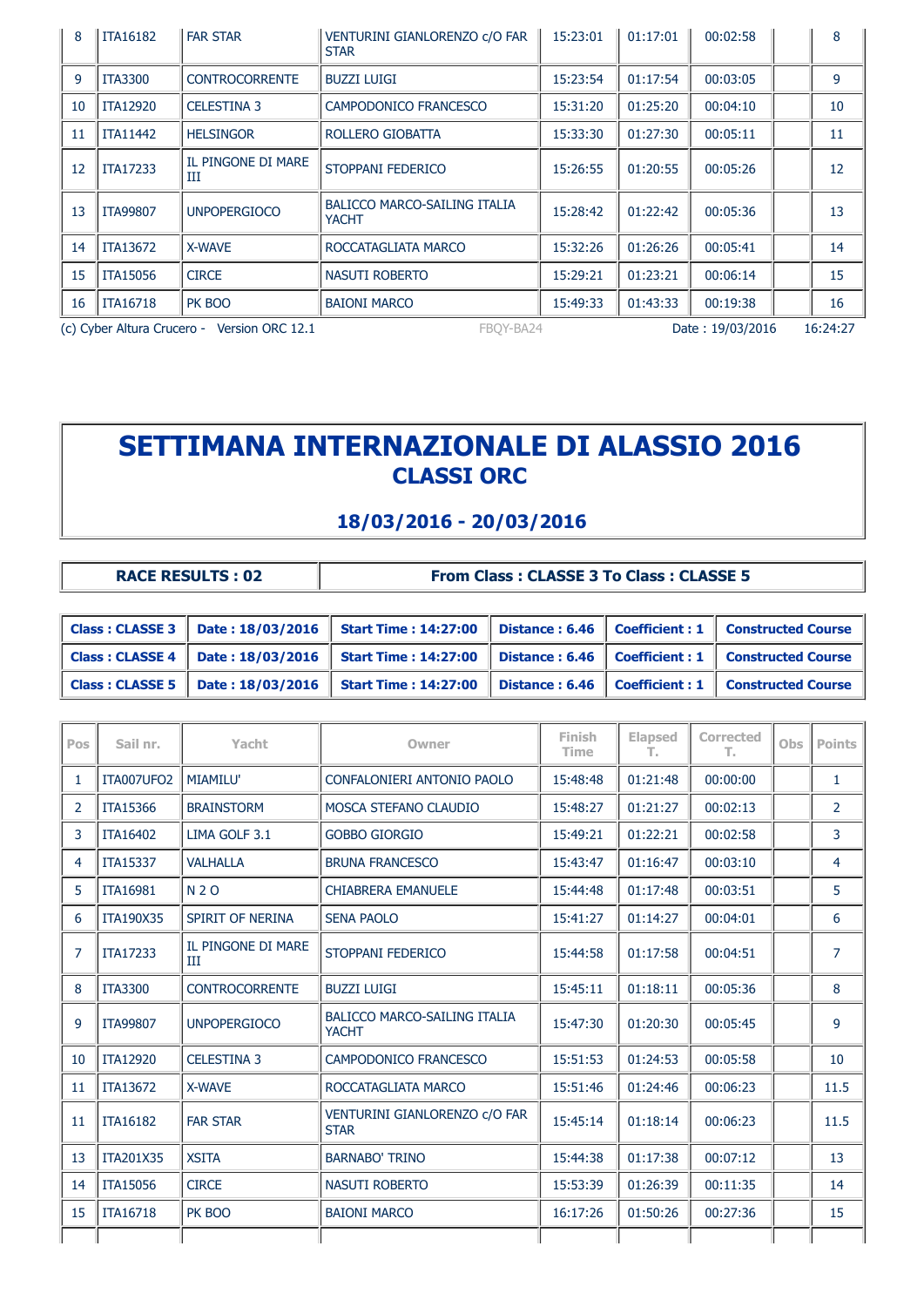| 8  | <b>ITA16182</b>                                                                          | <b>FAR STAR</b>         | VENTURINI GIANLORENZO C/O FAR<br><b>STAR</b>        | 15:23:01 | 01:17:01 | 00:02:58 | 8  |
|----|------------------------------------------------------------------------------------------|-------------------------|-----------------------------------------------------|----------|----------|----------|----|
| 9  | <b>ITA3300</b>                                                                           | <b>CONTROCORRENTE</b>   | <b>BUZZI LUIGI</b>                                  | 15:23:54 | 01:17:54 | 00:03:05 | 9  |
| 10 | <b>ITA12920</b>                                                                          | <b>CELESTINA 3</b>      | CAMPODONICO FRANCESCO                               | 15:31:20 | 01:25:20 | 00:04:10 | 10 |
| 11 | <b>ITA11442</b>                                                                          | <b>HELSINGOR</b>        | ROLLERO GIOBATTA                                    | 15:33:30 | 01:27:30 | 00:05:11 | 11 |
| 12 | ITA17233                                                                                 | IL PINGONE DI MARE<br>Ш | STOPPANI FEDERICO                                   | 15:26:55 | 01:20:55 | 00:05:26 | 12 |
| 13 | <b>ITA99807</b>                                                                          | <b>UNPOPERGIOCO</b>     | <b>BALICCO MARCO-SAILING ITALIA</b><br><b>YACHT</b> | 15:28:42 | 01:22:42 | 00:05:36 | 13 |
| 14 | <b>ITA13672</b>                                                                          | X-WAVE                  | ROCCATAGLIATA MARCO                                 | 15:32:26 | 01:26:26 | 00:05:41 | 14 |
| 15 | <b>ITA15056</b>                                                                          | <b>CIRCE</b>            | NASUTI ROBERTO                                      | 15:29:21 | 01:23:21 | 00:06:14 | 15 |
| 16 | <b>ITA16718</b>                                                                          | PK BOO                  | <b>BAIONI MARCO</b>                                 | 15:49:33 | 01:43:33 | 00:19:38 | 16 |
|    | (c) Cyber Altura Crucero - Version ORC 12.1<br>Date: 19/03/2016<br>FBOY-BA24<br>16:24:27 |                         |                                                     |          |          |          |    |

### **18/03/2016 - 20/03/2016**

| <b>RACE RESULTS: 02</b> |  |
|-------------------------|--|

**From Class : CLASSE 3 To Class : CLASSE 5** 

|  | $\mid$ Class : CLASSE 3 $\mid$ Date : 18/03/2016 $\mid$ Start Time : 14:27:00 $\mid$ Distance : 6.46 $\mid$ Coefficient : 1 $\mid$ Constructed Course |  |                                                      |
|--|-------------------------------------------------------------------------------------------------------------------------------------------------------|--|------------------------------------------------------|
|  | Class : CLASSE 4   Date : 18/03/2016   Start Time : 14:27:00   Distance : 6.46   Coefficient : 1   Constructed Course                                 |  |                                                      |
|  | Class : CLASSE 5    Date : 18/03/2016    Start Time : 14:27:00                                                                                        |  | Distance: 6.46   Coefficient: 1   Constructed Course |

| Pos            | Sail nr.         | Yacht                   | Owner                                               | Finish<br><b>Time</b> | <b>Elapsed</b><br>т. | Corrected<br>Т., | Obs | <b>Points</b>         |
|----------------|------------------|-------------------------|-----------------------------------------------------|-----------------------|----------------------|------------------|-----|-----------------------|
| 1              | ITA007UFO2       | <b>MIAMILU'</b>         | CONFALONIERI ANTONIO PAOLO                          | 15:48:48              | 01:21:48             | 00:00:00         |     | 1                     |
| $\overline{2}$ | <b>ITA15366</b>  | <b>BRAINSTORM</b>       | MOSCA STEFANO CLAUDIO                               | 15:48:27              | 01:21:27             | 00:02:13         |     | $\mathbf{2}^{\prime}$ |
| 3              | <b>ITA16402</b>  | LIMA GOLF 3.1           | <b>GOBBO GIORGIO</b>                                | 15:49:21              | 01:22:21             | 00:02:58         |     | 3                     |
| 4              | <b>ITA15337</b>  | <b>VALHALLA</b>         | <b>BRUNA FRANCESCO</b>                              | 15:43:47              | 01:16:47             | 00:03:10         |     | 4                     |
| 5              | <b>ITA16981</b>  | <b>N2O</b>              | <b>CHIABRERA EMANUELE</b>                           | 15:44:48              | 01:17:48             | 00:03:51         |     | 5                     |
| 6              | <b>ITA190X35</b> | SPIRIT OF NERINA        | <b>SENA PAOLO</b>                                   | 15:41:27              | 01:14:27             | 00:04:01         |     | 6                     |
| $\overline{7}$ | <b>ITA17233</b>  | IL PINGONE DI MARE<br>Ш | STOPPANI FEDERICO                                   | 15:44:58              | 01:17:58             | 00:04:51         |     | $\overline{7}$        |
| 8              | <b>ITA3300</b>   | <b>CONTROCORRENTE</b>   | <b>BUZZI LUIGI</b>                                  | 15:45:11              | 01:18:11             | 00:05:36         |     | 8                     |
| 9              | <b>ITA99807</b>  | <b>UNPOPERGIOCO</b>     | BALICCO MARCO-SAILING ITALIA<br><b>YACHT</b>        | 15:47:30              | 01:20:30             | 00:05:45         |     | 9                     |
| 10             | <b>ITA12920</b>  | <b>CELESTINA 3</b>      | CAMPODONICO FRANCESCO                               | 15:51:53              | 01:24:53             | 00:05:58         |     | 10                    |
| 11             | <b>ITA13672</b>  | <b>X-WAVE</b>           | ROCCATAGLIATA MARCO                                 | 15:51:46              | 01:24:46             | 00:06:23         |     | 11.5                  |
| 11             | <b>ITA16182</b>  | <b>FAR STAR</b>         | <b>VENTURINI GIANLORENZO C/O FAR</b><br><b>STAR</b> | 15:45:14              | 01:18:14             | 00:06:23         |     | 11.5                  |
| 13             | <b>ITA201X35</b> | <b>XSITA</b>            | <b>BARNABO' TRINO</b>                               | 15:44:38              | 01:17:38             | 00:07:12         |     | 13                    |
| 14             | <b>ITA15056</b>  | <b>CIRCE</b>            | <b>NASUTI ROBERTO</b>                               | 15:53:39              | 01:26:39             | 00:11:35         |     | 14                    |
| 15             | <b>ITA16718</b>  | PK BOO                  | <b>BAIONI MARCO</b>                                 | 16:17:26              | 01:50:26             | 00:27:36         |     | 15                    |
|                |                  |                         |                                                     |                       |                      |                  |     |                       |